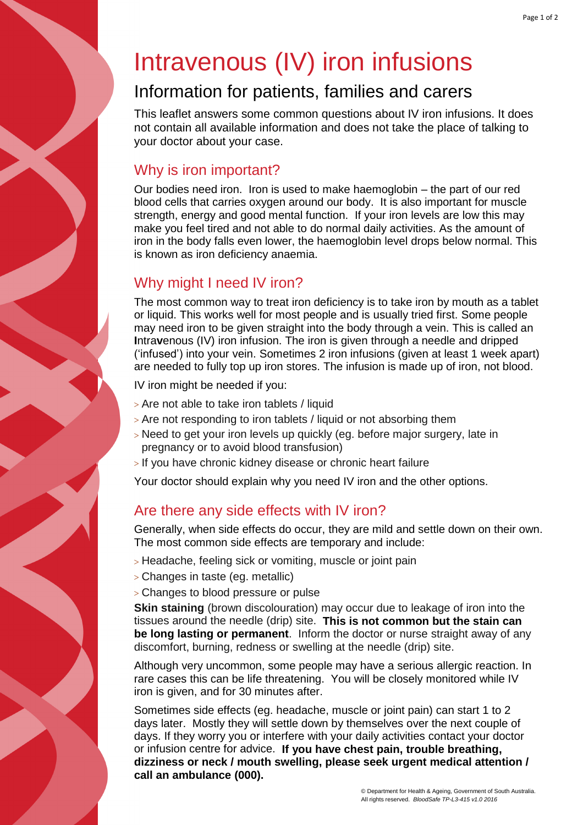# Intravenous (IV) iron infusions

## Information for patients, families and carers

This leaflet answers some common questions about IV iron infusions. It does not contain all available information and does not take the place of talking to your doctor about your case.

#### Why is iron important?

Our bodies need iron. Iron is used to make haemoglobin – the part of our red blood cells that carries oxygen around our body. It is also important for muscle strength, energy and good mental function. If your iron levels are low this may make you feel tired and not able to do normal daily activities. As the amount of iron in the body falls even lower, the haemoglobin level drops below normal. This is known as iron deficiency anaemia.

#### Why might I need IV iron?

The most common way to treat iron deficiency is to take iron by mouth as a tablet or liquid. This works well for most people and is usually tried first. Some people may need iron to be given straight into the body through a vein. This is called an **I**ntra**v**enous (IV) iron infusion. The iron is given through a needle and dripped ('infused') into your vein. Sometimes 2 iron infusions (given at least 1 week apart) are needed to fully top up iron stores. The infusion is made up of iron, not blood.

IV iron might be needed if you:

- Are not able to take iron tablets / liquid
- Are not responding to iron tablets / liquid or not absorbing them
- > Need to get your iron levels up quickly (eg. before major surgery, late in pregnancy or to avoid blood transfusion)
- If you have chronic kidney disease or chronic heart failure

Your doctor should explain why you need IV iron and the other options.

#### Are there any side effects with IV iron?

Generally, when side effects do occur, they are mild and settle down on their own. The most common side effects are temporary and include:

- > Headache, feeling sick or vomiting, muscle or joint pain
- Changes in taste (eg. metallic)
- Changes to blood pressure or pulse

**Skin staining** (brown discolouration) may occur due to leakage of iron into the tissues around the needle (drip) site. **This is not common but the stain can be long lasting or permanent**. Inform the doctor or nurse straight away of any discomfort, burning, redness or swelling at the needle (drip) site.

Although very uncommon, some people may have a serious allergic reaction. In rare cases this can be life threatening. You will be closely monitored while IV iron is given, and for 30 minutes after.

Sometimes side effects (eg. headache, muscle or joint pain) can start 1 to 2 days later. Mostly they will settle down by themselves over the next couple of days. If they worry you or interfere with your daily activities contact your doctor or infusion centre for advice. **If you have chest pain, trouble breathing, dizziness or neck / mouth swelling, please seek urgent medical attention / call an ambulance (000).**